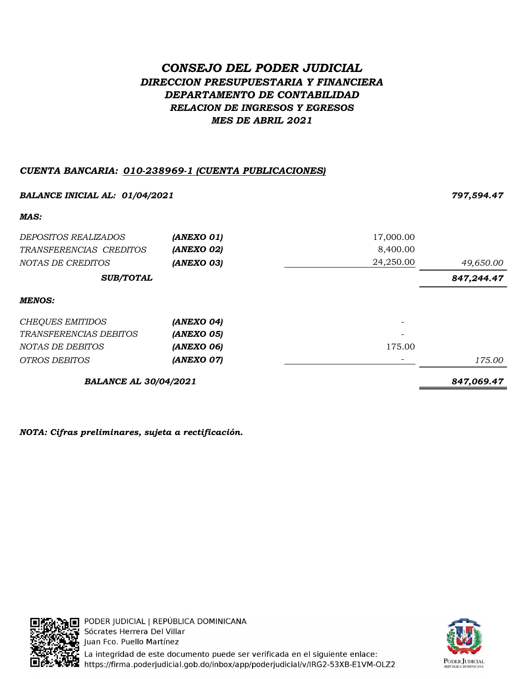# CONSEJO DEL PODER JUDICIAL DIRECCION PRESUPUESTARIA Y FINANCIERA DEPARTAMENTO DE CONTABILIDAD RELACION DE INGRESOS Y EGRESOS MES DE ABRIL 2021

# CUENTA BANCARIA: 010-238969-1 (CUENTA PUBLICACIONES)

| <b>BALANCE INICIAL AL: 01/04/2021</b> |            |           | 797,594.47 |  |
|---------------------------------------|------------|-----------|------------|--|
| MAS:                                  |            |           |            |  |
| <i>DEPOSITOS REALIZADOS</i>           | (ANEXO 01) | 17,000.00 |            |  |
| TRANSFERENCIAS CREDITOS               | (ANEXO 02) | 8,400.00  |            |  |
| NOTAS DE CREDITOS                     | (ANEXO 03) | 24,250.00 | 49,650.00  |  |
| <b>SUB/TOTAL</b>                      |            |           | 847,244.47 |  |
| <b>MENOS:</b>                         |            |           |            |  |
| <b>CHEQUES EMITIDOS</b>               | (ANEXO 04) |           |            |  |
| TRANSFERENCIAS DEBITOS                | (ANEXO 05) |           |            |  |
| NOTAS DE DEBITOS                      | (ANEXO 06) | 175.00    |            |  |
| <b>OTROS DEBITOS</b>                  | (ANEXO 07) |           | 175.00     |  |
| <b>BALANCE AL 30/04/2021</b>          |            |           | 847,069.47 |  |

NOTA: Cifras preliminares, sujeta a rectificación.



PODER JUDICIAL | REPÚBLICA DOMINICANA Sócrates Herrera Del Villar Juan Fco. Puello Martínez La integridad de este documento puede ser verificada en el siguiente enlace: https://firma.poderjudicial.gob.do/inbox/app/poderjudicial/v/IRG2-53XB-E1VM-OLZ2

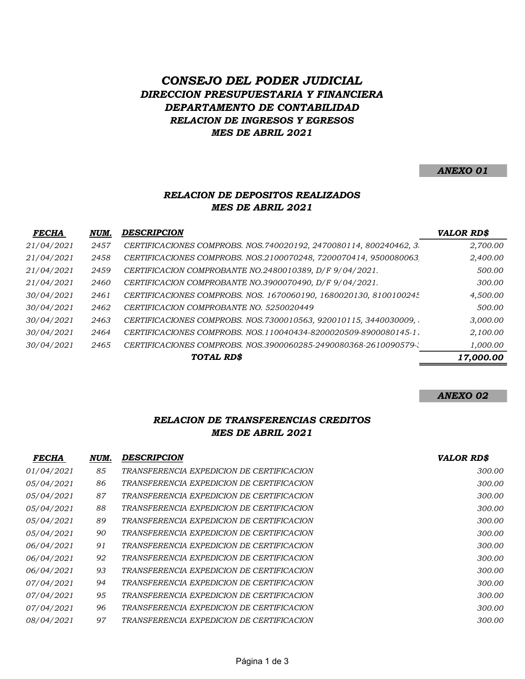# CONSEJO DEL PODER JUDICIAL DIRECCION PRESUPUESTARIA Y FINANCIERA DEPARTAMENTO DE CONTABILIDAD RELACION DE INGRESOS Y EGRESOS MES DE ABRIL 2021

#### ANEXO 01

# RELACION DE DEPOSITOS REALIZADOS MES DE ABRIL 2021

| <b>FECHA</b> | NUM. | <b>DESCRIPCION</b>                                                 | <b>VALOR RD\$</b> |
|--------------|------|--------------------------------------------------------------------|-------------------|
| 21/04/2021   | 2457 | CERTIFICACIONES COMPROBS. NOS.740020192, 2470080114, 800240462, 3. | 2,700.00          |
| 21/04/2021   | 2458 | CERTIFICACIONES COMPROBS. NOS.2100070248, 7200070414, 9500080063,  | 2,400.00          |
| 21/04/2021   | 2459 | CERTIFICACION COMPROBANTE NO.2480010389, D/F 9/04/2021.            | 500.00            |
| 21/04/2021   | 2460 | CERTIFICACION COMPROBANTE NO.3900070490, D/F 9/04/2021.            | 300.00            |
| 30/04/2021   | 2461 | CERTIFICACIONES COMPROBS. NOS. 1670060190, 1680020130, 8100100245  | 4,500.00          |
| 30/04/2021   | 2462 | CERTIFICACION COMPROBANTE NO. 5250020449                           | 500.00            |
| 30/04/2021   | 2463 | CERTIFICACIONES COMPROBS. NOS.7300010563, 920010115, 3440030009,   | 3,000.00          |
| 30/04/2021   | 2464 | CERTIFICACIONES COMPROBS. NOS.110040434-8200020509-8900080145-11   | 2,100.00          |
| 30/04/2021   | 2465 | CERTIFICACIONES COMPROBS. NOS.3900060285-2490080368-2610090579-2   | 1,000.00          |
|              |      | TOTAL RD\$                                                         | 17,000.00         |

#### ANEXO 02

## RELACION DE TRANSFERENCIAS CREDITOS MES DE ABRIL 2021

| <b>FECHA</b>      | NUM. | <b>DESCRIPCION</b>                        | <b>VALOR RD\$</b> |
|-------------------|------|-------------------------------------------|-------------------|
| <i>01/04/2021</i> | 85   | TRANSFERENCIA EXPEDICION DE CERTIFICACION | 300.00            |
| <i>05/04/2021</i> | 86   | TRANSFERENCIA EXPEDICION DE CERTIFICACION | 300.00            |
| 05/04/2021        | 87   | TRANSFERENCIA EXPEDICION DE CERTIFICACION | 300.00            |
| 05/04/2021        | 88   | TRANSFERENCIA EXPEDICION DE CERTIFICACION | 300.00            |
| <i>05/04/2021</i> | 89   | TRANSFERENCIA EXPEDICION DE CERTIFICACION | 300.00            |
| <i>05/04/2021</i> | 90   | TRANSFERENCIA EXPEDICION DE CERTIFICACION | 300.00            |
| 06/04/2021        | 91   | TRANSFERENCIA EXPEDICION DE CERTIFICACION | 300.00            |
| 06/04/2021        | 92   | TRANSFERENCIA EXPEDICION DE CERTIFICACION | 300.00            |
| <i>06/04/2021</i> | 93   | TRANSFERENCIA EXPEDICION DE CERTIFICACION | 300.00            |
| 07/04/2021        | 94   | TRANSFERENCIA EXPEDICION DE CERTIFICACION | 300.00            |
| 07/04/2021        | 95   | TRANSFERENCIA EXPEDICION DE CERTIFICACION | 300.00            |
| 07/04/2021        | 96   | TRANSFERENCIA EXPEDICION DE CERTIFICACION | 300.00            |
| 08/04/2021        | 97   | TRANSFERENCIA EXPEDICION DE CERTIFICACION | 300.00            |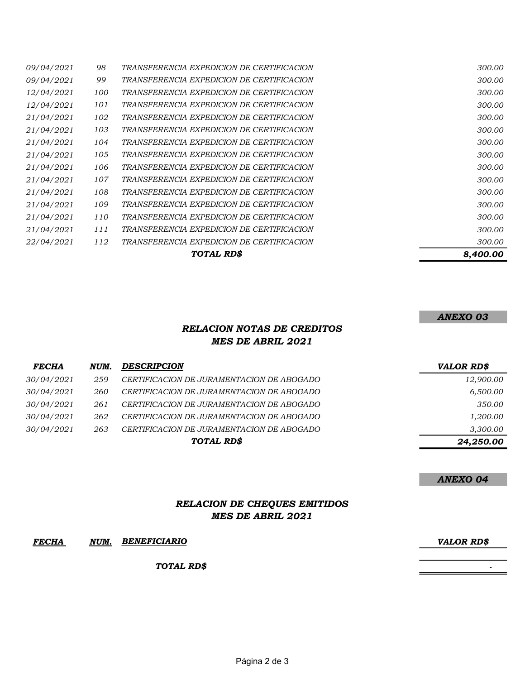| 09/04/2021        | 98  | TRANSFERENCIA EXPEDICION DE CERTIFICACION | 300.00   |
|-------------------|-----|-------------------------------------------|----------|
| <i>09/04/2021</i> | 99  | TRANSFERENCIA EXPEDICION DE CERTIFICACION | 300.00   |
| 12/04/2021        | 100 | TRANSFERENCIA EXPEDICION DE CERTIFICACION | 300.00   |
| 12/04/2021        | 101 | TRANSFERENCIA EXPEDICION DE CERTIFICACION | 300.00   |
| 21/04/2021        | 102 | TRANSFERENCIA EXPEDICION DE CERTIFICACION | 300.00   |
| 21/04/2021        | 103 | TRANSFERENCIA EXPEDICION DE CERTIFICACION | 300.00   |
| 21/04/2021        | 104 | TRANSFERENCIA EXPEDICION DE CERTIFICACION | 300.00   |
| 21/04/2021        | 105 | TRANSFERENCIA EXPEDICION DE CERTIFICACION | 300.00   |
| 21/04/2021        | 106 | TRANSFERENCIA EXPEDICION DE CERTIFICACION | 300.00   |
| 21/04/2021        | 107 | TRANSFERENCIA EXPEDICION DE CERTIFICACION | 300.00   |
| 21/04/2021        | 108 | TRANSFERENCIA EXPEDICION DE CERTIFICACION | 300.00   |
| 21/04/2021        | 109 | TRANSFERENCIA EXPEDICION DE CERTIFICACION | 300.00   |
| 21/04/2021        | 110 | TRANSFERENCIA EXPEDICION DE CERTIFICACION | 300.00   |
| 21/04/2021        | 111 | TRANSFERENCIA EXPEDICION DE CERTIFICACION | 300.00   |
| 22/04/2021        | 112 | TRANSFERENCIA EXPEDICION DE CERTIFICACION | 300.00   |
|                   |     | TOTAL RD\$                                | 8,400.00 |

## ANEXO 03

#### RELACION NOTAS DE CREDITOS MES DE ABRIL 2021

| <b>FECHA</b>      | NUM. | <b>DESCRIPCION</b>                        | VALOR RD\$ |
|-------------------|------|-------------------------------------------|------------|
| <i>30/04/2021</i> | 259  | CERTIFICACION DE JURAMENTACION DE ABOGADO | 12,900.00  |
| 30/04/2021        | 260  | CERTIFICACION DE JURAMENTACION DE ABOGADO | 6,500.00   |
| 30/04/2021        | 261  | CERTIFICACION DE JURAMENTACION DE ABOGADO | 350.00     |
| 30/04/2021        | 262  | CERTIFICACION DE JURAMENTACION DE ABOGADO | 1,200.00   |
| 30/04/2021        | 263  | CERTIFICACION DE JURAMENTACION DE ABOGADO | 3,300.00   |
|                   |      | TOTAL RD\$                                | 24,250.00  |

#### ANEXO 04

# RELACION DE CHEQUES EMITIDOS MES DE ABRIL 2021

#### FECHA NUM. VALOR RD\$ BENEFICIARIO

TOTAL RD\$

- 1990 - 1990 - 1990 - 1990 - 1990 - 1990 - 1990 - 1990 - 1990 - 1990 - 1990 - 1990 - 1990 - 1990 - 1990 - 199<br>1990 - 1990 - 1990 - 1990 - 1990 - 1990 - 1990 - 1990 - 1990 - 1990 - 1990 - 1990 - 1990 - 1990 - 1990 - 1990